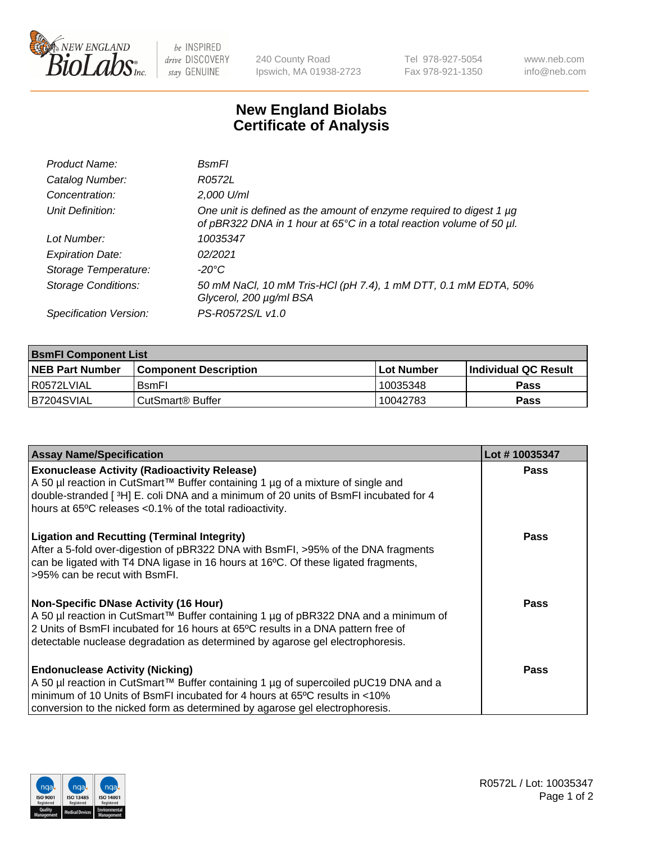

be INSPIRED drive DISCOVERY stay GENUINE

240 County Road Ipswich, MA 01938-2723 Tel 978-927-5054 Fax 978-921-1350

www.neb.com info@neb.com

## **New England Biolabs Certificate of Analysis**

| Product Name:              | <b>B</b> smFI                                                                                                                               |
|----------------------------|---------------------------------------------------------------------------------------------------------------------------------------------|
| Catalog Number:            | R0572L                                                                                                                                      |
| Concentration:             | 2,000 U/ml                                                                                                                                  |
| Unit Definition:           | One unit is defined as the amount of enzyme required to digest 1 µg<br>of pBR322 DNA in 1 hour at 65°C in a total reaction volume of 50 µl. |
| Lot Number:                | 10035347                                                                                                                                    |
| <b>Expiration Date:</b>    | 02/2021                                                                                                                                     |
| Storage Temperature:       | -20°C                                                                                                                                       |
| <b>Storage Conditions:</b> | 50 mM NaCl, 10 mM Tris-HCl (pH 7.4), 1 mM DTT, 0.1 mM EDTA, 50%<br>Glycerol, 200 µg/ml BSA                                                  |
| Specification Version:     | PS-R0572S/L v1.0                                                                                                                            |

| <b>BsmFI Component List</b> |                         |              |                             |  |
|-----------------------------|-------------------------|--------------|-----------------------------|--|
| <b>NEB Part Number</b>      | l Component Description | l Lot Number | <b>Individual QC Result</b> |  |
| I R0572LVIAL                | <b>B</b> smFI           | 10035348     | Pass                        |  |
| IB7204SVIAL                 | l CutSmart® Buffer_     | 10042783     | Pass                        |  |

| <b>Assay Name/Specification</b>                                                                                                                                                                                                                                                                          | Lot #10035347 |
|----------------------------------------------------------------------------------------------------------------------------------------------------------------------------------------------------------------------------------------------------------------------------------------------------------|---------------|
| <b>Exonuclease Activity (Radioactivity Release)</b><br>A 50 µl reaction in CutSmart™ Buffer containing 1 µg of a mixture of single and<br>double-stranded [3H] E. coli DNA and a minimum of 20 units of BsmFI incubated for 4<br>hours at 65°C releases <0.1% of the total radioactivity.                | Pass          |
| <b>Ligation and Recutting (Terminal Integrity)</b><br>After a 5-fold over-digestion of pBR322 DNA with BsmFI, >95% of the DNA fragments<br>can be ligated with T4 DNA ligase in 16 hours at 16°C. Of these ligated fragments,<br>>95% can be recut with BsmFI.                                           | Pass          |
| <b>Non-Specific DNase Activity (16 Hour)</b><br>A 50 µl reaction in CutSmart™ Buffer containing 1 µg of pBR322 DNA and a minimum of<br>2 Units of BsmFI incubated for 16 hours at 65°C results in a DNA pattern free of<br>detectable nuclease degradation as determined by agarose gel electrophoresis. | <b>Pass</b>   |
| <b>Endonuclease Activity (Nicking)</b><br>A 50 µl reaction in CutSmart™ Buffer containing 1 µg of supercoiled pUC19 DNA and a<br>minimum of 10 Units of BsmFI incubated for 4 hours at 65°C results in <10%<br>conversion to the nicked form as determined by agarose gel electrophoresis.               | Pass          |